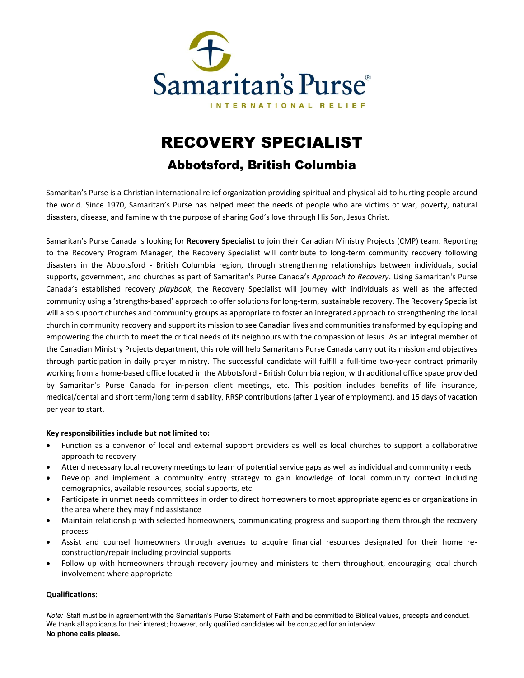

# RECOVERY SPECIALIST

## Abbotsford, British Columbia

Samaritan's Purse is a Christian international relief organization providing spiritual and physical aid to hurting people around the world. Since 1970, Samaritan's Purse has helped meet the needs of people who are victims of war, poverty, natural disasters, disease, and famine with the purpose of sharing God's love through His Son, Jesus Christ.

Samaritan's Purse Canada is looking for **Recovery Specialist** to join their Canadian Ministry Projects (CMP) team. Reporting to the Recovery Program Manager, the Recovery Specialist will contribute to long-term community recovery following disasters in the Abbotsford - British Columbia region, through strengthening relationships between individuals, social supports, government, and churches as part of Samaritan's Purse Canada's *Approach to Recovery*. Using Samaritan's Purse Canada's established recovery *playbook*, the Recovery Specialist will journey with individuals as well as the affected community using a 'strengths-based' approach to offer solutions for long-term, sustainable recovery. The Recovery Specialist will also support churches and community groups as appropriate to foster an integrated approach to strengthening the local church in community recovery and support its mission to see Canadian lives and communities transformed by equipping and empowering the church to meet the critical needs of its neighbours with the compassion of Jesus. As an integral member of the Canadian Ministry Projects department, this role will help Samaritan's Purse Canada carry out its mission and objectives through participation in daily prayer ministry. The successful candidate will fulfill a full-time two-year contract primarily working from a home-based office located in the Abbotsford - British Columbia region, with additional office space provided by Samaritan's Purse Canada for in-person client meetings, etc. This position includes benefits of life insurance, medical/dental and short term/long term disability, RRSP contributions (after 1 year of employment), and 15 days of vacation per year to start.

### **Key responsibilities include but not limited to:**

- Function as a convenor of local and external support providers as well as local churches to support a collaborative approach to recovery
- Attend necessary local recovery meetings to learn of potential service gaps as well as individual and community needs
- Develop and implement a community entry strategy to gain knowledge of local community context including demographics, available resources, social supports, etc.
- Participate in unmet needs committees in order to direct homeowners to most appropriate agencies or organizations in the area where they may find assistance
- Maintain relationship with selected homeowners, communicating progress and supporting them through the recovery process
- Assist and counsel homeowners through avenues to acquire financial resources designated for their home reconstruction/repair including provincial supports
- Follow up with homeowners through recovery journey and ministers to them throughout, encouraging local church involvement where appropriate

### **Qualifications:**

Note: Staff must be in agreement with the Samaritan's Purse Statement of Faith and be committed to Biblical values, precepts and conduct. We thank all applicants for their interest; however, only qualified candidates will be contacted for an interview. **No phone calls please.**